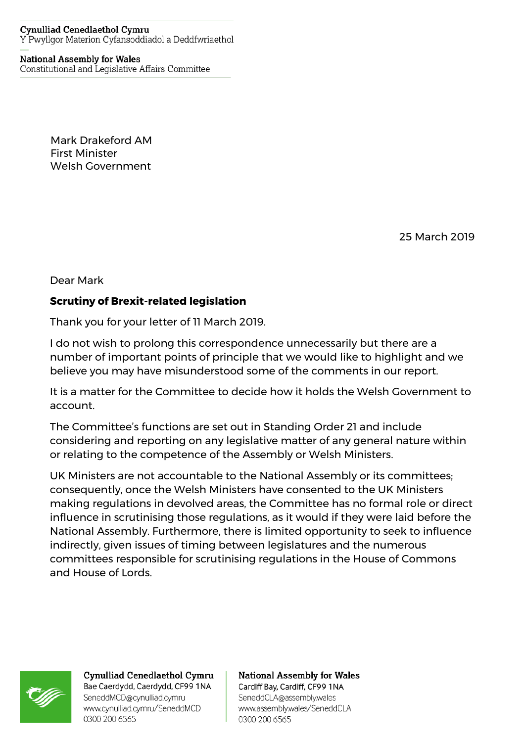## **Cynulliad Cenedlaethol Cymru** Y Pwyllgor Materion Cyfansoddiadol a Deddfwriaethol

## **National Assembly for Wales**

Constitutional and Legislative Affairs Committee

Mark Drakeford AM First Minister Welsh Government

25 March 2019

Dear Mark

## **Scrutiny of Brexit-related legislation**

Thank you for your letter of 11 March 2019.

I do not wish to prolong this correspondence unnecessarily but there are a number of important points of principle that we would like to highlight and we believe you may have misunderstood some of the comments in our report.

It is a matter for the Committee to decide how it holds the Welsh Government to account.

The Committee's functions are set out in Standing Order 21 and include considering and reporting on any legislative matter of any general nature within or relating to the competence of the Assembly or Welsh Ministers.

UK Ministers are not accountable to the National Assembly or its committees; consequently, once the Welsh Ministers have consented to the UK Ministers making regulations in devolved areas, the Committee has no formal role or direct influence in scrutinising those regulations, as it would if they were laid before the National Assembly. Furthermore, there is limited opportunity to seek to influence indirectly, given issues of timing between legislatures and the numerous committees responsible for scrutinising regulations in the House of Commons and House of Lords.



Cynulliad Cenedlaethol Cymru Bae Caerdydd, Caerdydd, CF99 1NA SeneddMCD@cynulliad.cymru www.cynulliad.cymru/SeneddMCD 0300 200 6565

## **National Assembly for Wales** Cardiff Bay, Cardiff, CF99 1NA

SeneddCLA@assembly.wales www.assembly.wales/SeneddCLA 0300 200 6565